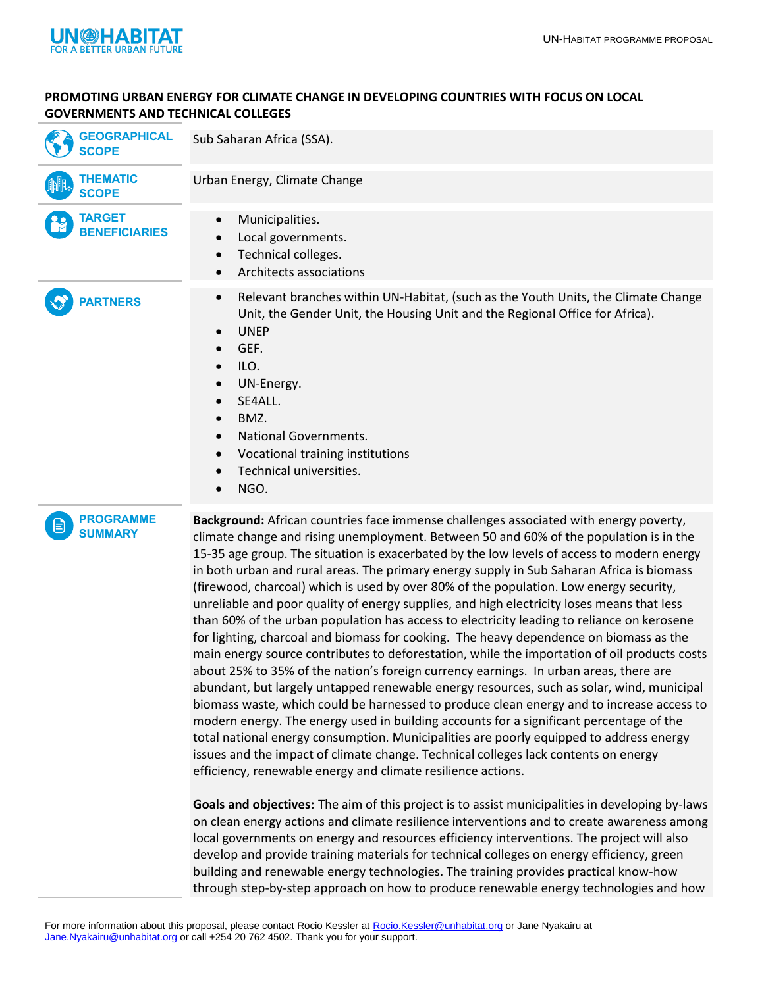

## **PROMOTING URBAN ENERGY FOR CLIMATE CHANGE IN DEVELOPING COUNTRIES WITH FOCUS ON LOCAL GOVERNMENTS AND TECHNICAL COLLEGES**

| <b>GEOGRAPHICAL</b><br><b>SCOPE</b>     | Sub Saharan Africa (SSA).                                                                                                                                                                                                                                                                                                                                                                                                                                                                                                                                                                                                                                                                                                                                                                                                                                                                                                                                                                                                                                                                                                                                                                                                                                                                                                                                                                                                                                                                                                                                                                                                                                                                                                                                                                                                                                                             |
|-----------------------------------------|---------------------------------------------------------------------------------------------------------------------------------------------------------------------------------------------------------------------------------------------------------------------------------------------------------------------------------------------------------------------------------------------------------------------------------------------------------------------------------------------------------------------------------------------------------------------------------------------------------------------------------------------------------------------------------------------------------------------------------------------------------------------------------------------------------------------------------------------------------------------------------------------------------------------------------------------------------------------------------------------------------------------------------------------------------------------------------------------------------------------------------------------------------------------------------------------------------------------------------------------------------------------------------------------------------------------------------------------------------------------------------------------------------------------------------------------------------------------------------------------------------------------------------------------------------------------------------------------------------------------------------------------------------------------------------------------------------------------------------------------------------------------------------------------------------------------------------------------------------------------------------------|
| <b>THEMATIC</b><br><b>SCOPE</b>         | Urban Energy, Climate Change                                                                                                                                                                                                                                                                                                                                                                                                                                                                                                                                                                                                                                                                                                                                                                                                                                                                                                                                                                                                                                                                                                                                                                                                                                                                                                                                                                                                                                                                                                                                                                                                                                                                                                                                                                                                                                                          |
| <b>TARGET</b><br><b>BENEFICIARIES</b>   | Municipalities.<br>$\bullet$<br>Local governments.<br>Technical colleges.<br>Architects associations                                                                                                                                                                                                                                                                                                                                                                                                                                                                                                                                                                                                                                                                                                                                                                                                                                                                                                                                                                                                                                                                                                                                                                                                                                                                                                                                                                                                                                                                                                                                                                                                                                                                                                                                                                                  |
| <b>PARTNERS</b>                         | Relevant branches within UN-Habitat, (such as the Youth Units, the Climate Change<br>$\bullet$<br>Unit, the Gender Unit, the Housing Unit and the Regional Office for Africa).<br><b>UNEP</b><br>GEF.<br>ILO.<br>UN-Energy.<br>SE4ALL.<br>BMZ.<br>$\bullet$<br>National Governments.<br>Vocational training institutions<br>Technical universities.<br>NGO.                                                                                                                                                                                                                                                                                                                                                                                                                                                                                                                                                                                                                                                                                                                                                                                                                                                                                                                                                                                                                                                                                                                                                                                                                                                                                                                                                                                                                                                                                                                           |
| <b>PROGRAMME</b><br>E<br><b>SUMMARY</b> | Background: African countries face immense challenges associated with energy poverty,<br>climate change and rising unemployment. Between 50 and 60% of the population is in the<br>15-35 age group. The situation is exacerbated by the low levels of access to modern energy<br>in both urban and rural areas. The primary energy supply in Sub Saharan Africa is biomass<br>(firewood, charcoal) which is used by over 80% of the population. Low energy security,<br>unreliable and poor quality of energy supplies, and high electricity loses means that less<br>than 60% of the urban population has access to electricity leading to reliance on kerosene<br>for lighting, charcoal and biomass for cooking. The heavy dependence on biomass as the<br>main energy source contributes to deforestation, while the importation of oil products costs<br>about 25% to 35% of the nation's foreign currency earnings. In urban areas, there are<br>abundant, but largely untapped renewable energy resources, such as solar, wind, municipal<br>biomass waste, which could be harnessed to produce clean energy and to increase access to<br>modern energy. The energy used in building accounts for a significant percentage of the<br>total national energy consumption. Municipalities are poorly equipped to address energy<br>issues and the impact of climate change. Technical colleges lack contents on energy<br>efficiency, renewable energy and climate resilience actions.<br>Goals and objectives: The aim of this project is to assist municipalities in developing by-laws<br>on clean energy actions and climate resilience interventions and to create awareness among<br>local governments on energy and resources efficiency interventions. The project will also<br>develop and provide training materials for technical colleges on energy efficiency, green |

For more information about this proposal, please contact Rocio Kessler at [Rocio.Kessler@unhabitat.org](mailto:Rocio.Kessler@unhabitat.org) or Jane Nyakairu at [Jane.Nyakairu@unhabitat.org](mailto:Jane.Nyakairu@unhabitat.org) or call +254 20 762 4502. Thank you for your support.

building and renewable energy technologies. The training provides practical know-how through step-by-step approach on how to produce renewable energy technologies and how